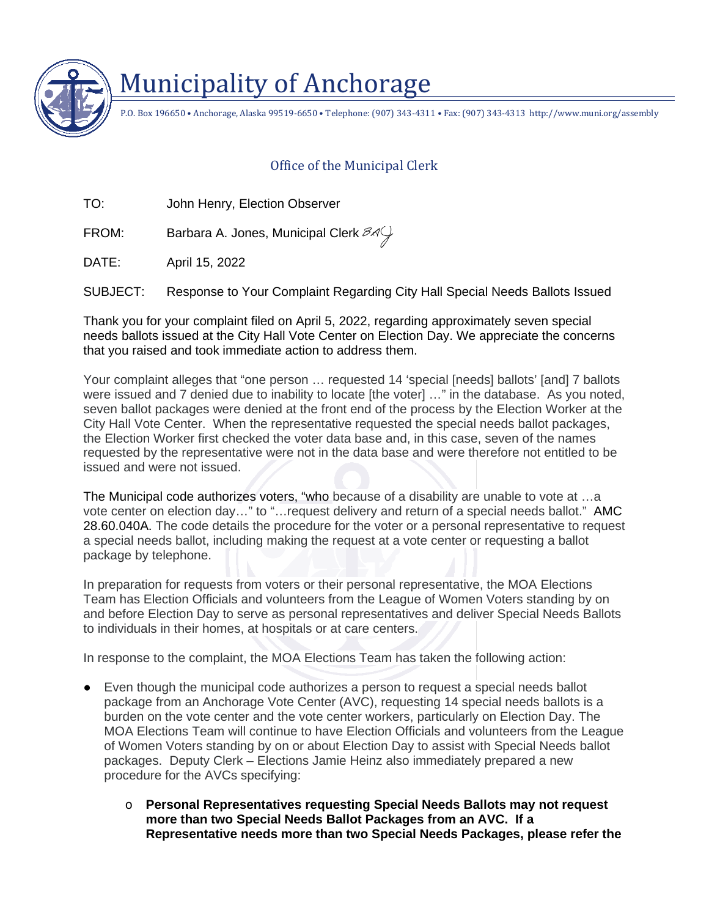

## Municipality of Anchorage

P.O. Box 196650 • Anchorage, Alaska 99519-6650 • Telephone: (907) 343-4311 • Fax: (907) 343-4313 http://www.muni.org/assembly

## Office of the Municipal Clerk

TO: John Henry, Election Observer

FROM: Barbara A. Jones, Municipal Clerk  $\mathscr{A}\mathscr{G}$ 

DATE: April 15, 2022

SUBJECT: Response to Your Complaint Regarding City Hall Special Needs Ballots Issued

Thank you for your complaint filed on April 5, 2022, regarding approximately seven special needs ballots issued at the City Hall Vote Center on Election Day. We appreciate the concerns that you raised and took immediate action to address them.

Your complaint alleges that "one person ... requested 14 'special [needs] ballots' [and] 7 ballots were issued and 7 denied due to inability to locate [the voter] …" in the database. As you noted, seven ballot packages were denied at the front end of the process by the Election Worker at the City Hall Vote Center. When the representative requested the special needs ballot packages, the Election Worker first checked the voter data base and, in this case, seven of the names requested by the representative were not in the data base and were therefore not entitled to be issued and were not issued.

The Municipal code authorizes voters, "who because of a disability are unable to vote at …a vote center on election day…" to "…request delivery and return of a special needs ballot." AMC 28.60.040A. The code details the procedure for the voter or a personal representative to request a special needs ballot, including making the request at a vote center or requesting a ballot package by telephone.

In preparation for requests from voters or their personal representative, the MOA Elections Team has Election Officials and volunteers from the League of Women Voters standing by on and before Election Day to serve as personal representatives and deliver Special Needs Ballots to individuals in their homes, at hospitals or at care centers.

In response to the complaint, the MOA Elections Team has taken the following action:

- **●** Even though the municipal code authorizes a person to request a special needs ballot package from an Anchorage Vote Center (AVC), requesting 14 special needs ballots is a burden on the vote center and the vote center workers, particularly on Election Day. The MOA Elections Team will continue to have Election Officials and volunteers from the League of Women Voters standing by on or about Election Day to assist with Special Needs ballot packages. Deputy Clerk – Elections Jamie Heinz also immediately prepared a new procedure for the AVCs specifying:
	- o **Personal Representatives requesting Special Needs Ballots may not request more than two Special Needs Ballot Packages from an AVC. If a Representative needs more than two Special Needs Packages, please refer the**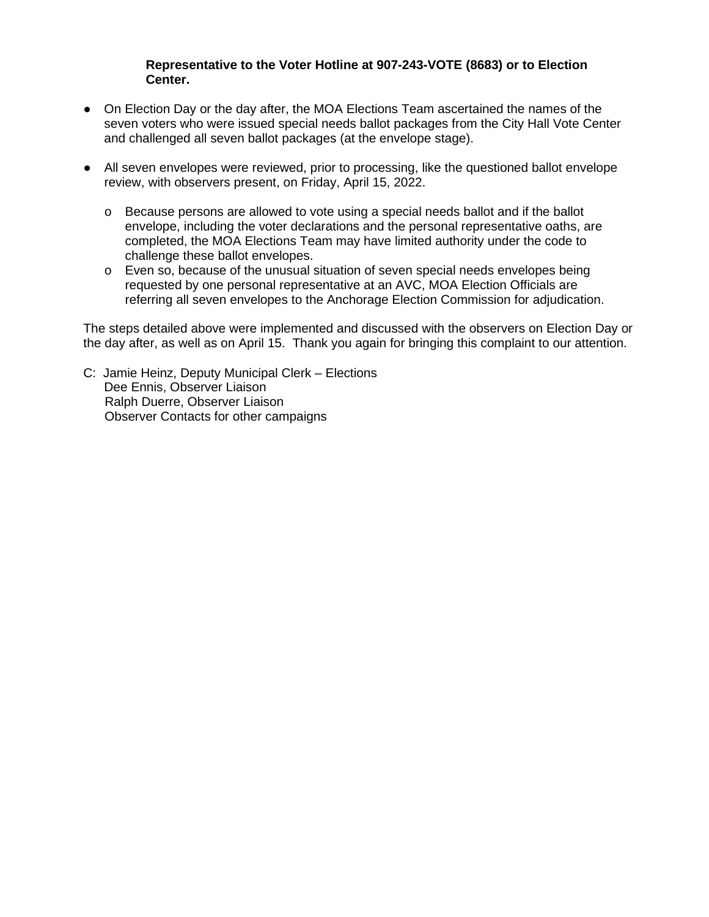## **Representative to the Voter Hotline at 907-243-VOTE (8683) or to Election Center.**

- **●** On Election Day or the day after, the MOA Elections Team ascertained the names of the seven voters who were issued special needs ballot packages from the City Hall Vote Center and challenged all seven ballot packages (at the envelope stage).
- **●** All seven envelopes were reviewed, prior to processing, like the questioned ballot envelope review, with observers present, on Friday, April 15, 2022.
	- $\circ$  Because persons are allowed to vote using a special needs ballot and if the ballot envelope, including the voter declarations and the personal representative oaths, are completed, the MOA Elections Team may have limited authority under the code to challenge these ballot envelopes.
	- o Even so, because of the unusual situation of seven special needs envelopes being requested by one personal representative at an AVC, MOA Election Officials are referring all seven envelopes to the Anchorage Election Commission for adjudication.

The steps detailed above were implemented and discussed with the observers on Election Day or the day after, as well as on April 15. Thank you again for bringing this complaint to our attention.

C: Jamie Heinz, Deputy Municipal Clerk – Elections Dee Ennis, Observer Liaison Ralph Duerre, Observer Liaison Observer Contacts for other campaigns